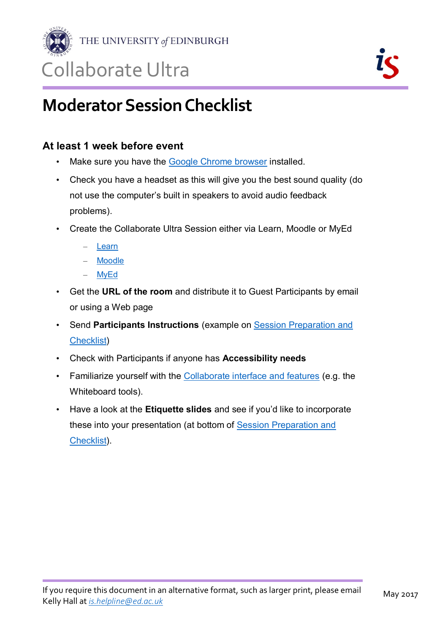

THE UNIVERSITY of EDINBURGH

## Collaborate Ultra

## **Moderator Session Checklist**

### **At least 1 week before event**

- Make sure you have the [Google Chrome browser](https://www.google.co.uk/chrome/browser/desktop/index.html?brand=CHBD&gclid=COTe7PTTwdACFUMTGwode5UOvg) installed.
- Check you have a headset as this will give you the best sound quality (do not use the computer's built in speakers to avoid audio feedback problems).
- Create the Collaborate Ultra Session either via Learn, Moodle or MyEd
	- [Learn](https://www.ed.ac.uk/information-services/learning-technology/communication/collaborate-vle/learn-collaborate)
	- [Moodle](https://www.ed.ac.uk/information-services/learning-technology/communication/collaborate-vle/moodle-collaborate)
	- [MyEd](https://www.ed.ac.uk/information-services/learning-technology/communication/virtualmeeting)
- Get the **URL of the room** and distribute it to Guest Participants by email or using a Web page
- Send **Participants Instructions** (example on [Session Preparation and](http://www.ed.ac.uk/information-services/learning-technology/communication/collaborate/session-preparation)  [Checklist\)](http://www.ed.ac.uk/information-services/learning-technology/communication/collaborate/session-preparation)
- Check with Participants if anyone has **Accessibility needs**
- Familiarize yourself with the [Collaborate interface and features](http://en-us.help.blackboard.com/Collaborate/Ultra/Moderator/030_Get_Started/Navigation) (e.g. the Whiteboard tools).
- Have a look at the **Etiquette slides** and see if you'd like to incorporate these into your presentation (at bottom of [Session Preparation and](http://www.ed.ac.uk/information-services/learning-technology/communication/collaborate/session-preparation)  [Checklist\)](http://www.ed.ac.uk/information-services/learning-technology/communication/collaborate/session-preparation).